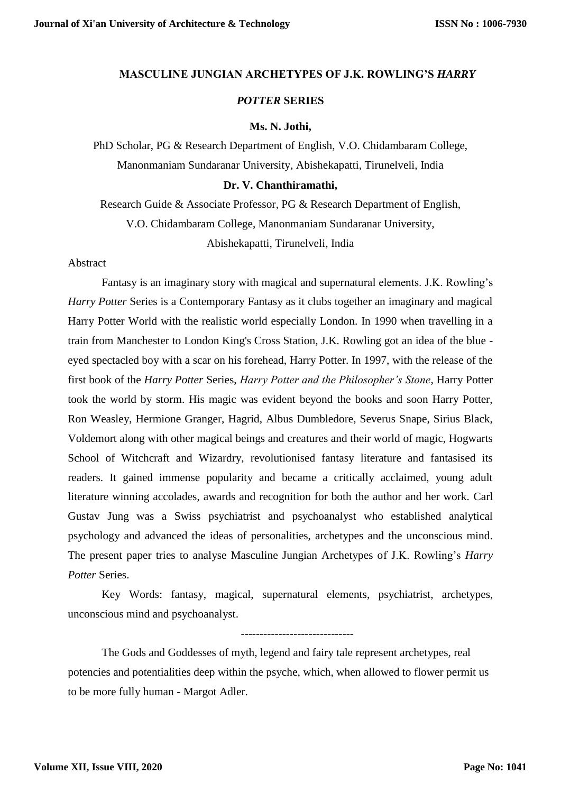### **MASCULINE JUNGIAN ARCHETYPES OF J.K. ROWLING'S** *HARRY*

# *POTTER* **SERIES**

#### **Ms. N. Jothi,**

PhD Scholar, PG & Research Department of English, V.O. Chidambaram College, Manonmaniam Sundaranar University, Abishekapatti, Tirunelveli, India

### **Dr. V. Chanthiramathi,**

Research Guide & Associate Professor, PG & Research Department of English, V.O. Chidambaram College, Manonmaniam Sundaranar University, Abishekapatti, Tirunelveli, India

Abstract

Fantasy is an imaginary story with magical and supernatural elements. J.K. Rowling's *Harry Potter* Series is a Contemporary Fantasy as it clubs together an imaginary and magical Harry Potter World with the realistic world especially London. In 1990 when travelling in a train from Manchester to London King's Cross Station, J.K. Rowling got an idea of the blue eyed spectacled boy with a scar on his forehead, Harry Potter. In 1997, with the release of the first book of the *Harry Potter* Series, *Harry Potter and the Philosopher's Stone*, Harry Potter took the world by storm. His magic was evident beyond the books and soon Harry Potter, Ron Weasley, Hermione Granger, Hagrid, Albus Dumbledore, Severus Snape, Sirius Black, Voldemort along with other magical beings and creatures and their world of magic, Hogwarts School of Witchcraft and Wizardry, revolutionised fantasy literature and fantasised its readers. It gained immense popularity and became a critically acclaimed, young adult literature winning accolades, awards and recognition for both the author and her work. Carl Gustav Jung was a Swiss psychiatrist and psychoanalyst who established analytical psychology and advanced the ideas of personalities, archetypes and the unconscious mind. The present paper tries to analyse Masculine Jungian Archetypes of J.K. Rowling's *Harry Potter* Series.

Key Words: fantasy, magical, supernatural elements, psychiatrist, archetypes, unconscious mind and psychoanalyst.

The Gods and Goddesses of myth, legend and fairy tale represent archetypes, real potencies and potentialities deep within the psyche, which, when allowed to flower permit us to be more fully human - Margot Adler.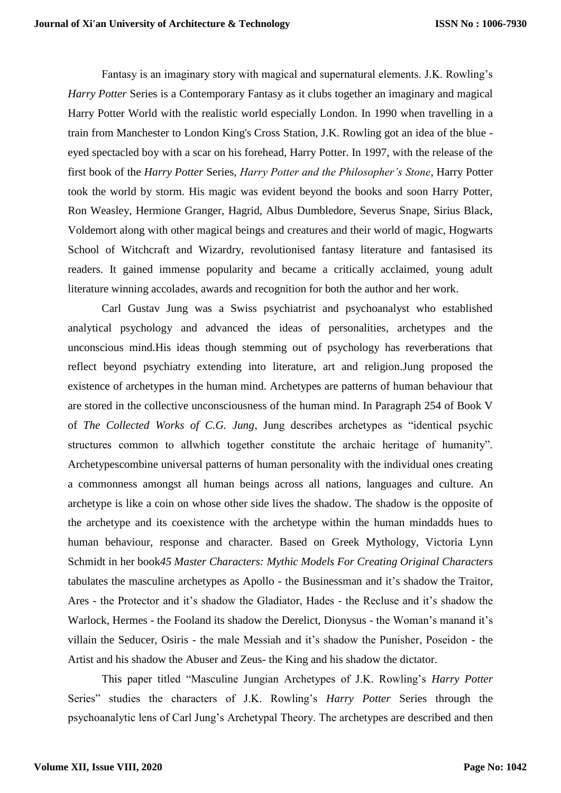Fantasy is an imaginary story with magical and supernatural elements. J.K. Rowling's *Harry Potter* Series is a Contemporary Fantasy as it clubs together an imaginary and magical Harry Potter World with the realistic world especially London. In 1990 when travelling in a train from Manchester to London King's Cross Station, J.K. Rowling got an idea of the blue eyed spectacled boy with a scar on his forehead, Harry Potter. In 1997, with the release of the first book of the *Harry Potter* Series, *Harry Potter and the Philosopher's Stone*, Harry Potter took the world by storm. His magic was evident beyond the books and soon Harry Potter, Ron Weasley, Hermione Granger, Hagrid, Albus Dumbledore, Severus Snape, Sirius Black, Voldemort along with other magical beings and creatures and their world of magic, Hogwarts School of Witchcraft and Wizardry, revolutionised fantasy literature and fantasised its readers. It gained immense popularity and became a critically acclaimed, young adult literature winning accolades, awards and recognition for both the author and her work.

Carl Gustav Jung was a Swiss psychiatrist and psychoanalyst who established analytical psychology and advanced the ideas of personalities, archetypes and the unconscious mind.His ideas though stemming out of psychology has reverberations that reflect beyond psychiatry extending into literature, art and religion.Jung proposed the existence of archetypes in the human mind. Archetypes are patterns of human behaviour that are stored in the collective unconsciousness of the human mind. In Paragraph 254 of Book V of *The Collected Works of C.G. Jung*, Jung describes archetypes as "identical psychic structures common to allwhich together constitute the archaic heritage of humanity". Archetypescombine universal patterns of human personality with the individual ones creating a commonness amongst all human beings across all nations, languages and culture. An archetype is like a coin on whose other side lives the shadow. The shadow is the opposite of the archetype and its coexistence with the archetype within the human mindadds hues to human behaviour, response and character. Based on Greek Mythology, Victoria Lynn Schmidt in her book*45 Master Characters: Mythic Models For Creating Original Characters*  tabulates the masculine archetypes as Apollo - the Businessman and it's shadow the Traitor, Ares - the Protector and it's shadow the Gladiator, Hades - the Recluse and it's shadow the Warlock, Hermes - the Fooland its shadow the Derelict, Dionysus - the Woman's manand it's villain the Seducer, Osiris - the male Messiah and it's shadow the Punisher, Poseidon - the Artist and his shadow the Abuser and Zeus- the King and his shadow the dictator.

This paper titled "Masculine Jungian Archetypes of J.K. Rowling's *Harry Potter*  Series" studies the characters of J.K. Rowling's *Harry Potter* Series through the psychoanalytic lens of Carl Jung's Archetypal Theory. The archetypes are described and then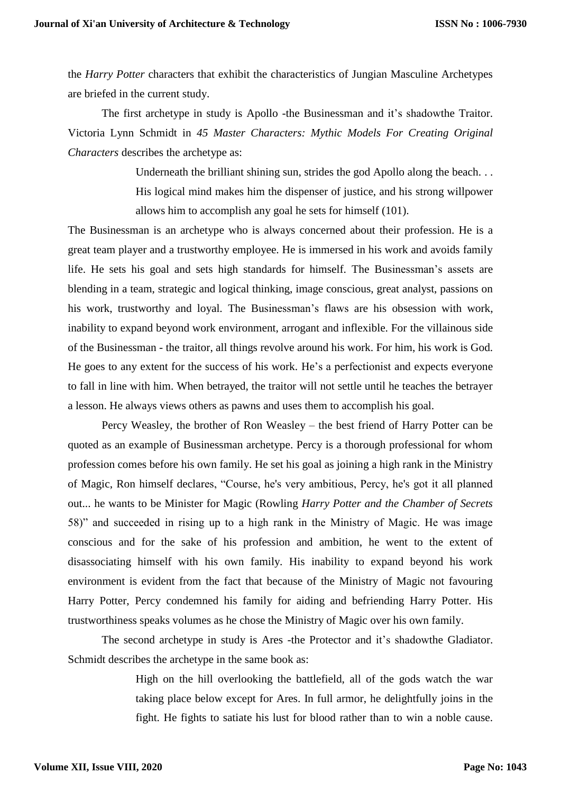the *Harry Potter* characters that exhibit the characteristics of Jungian Masculine Archetypes are briefed in the current study.

The first archetype in study is Apollo -the Businessman and it's shadowthe Traitor. Victoria Lynn Schmidt in *45 Master Characters: Mythic Models For Creating Original Characters* describes the archetype as:

> Underneath the brilliant shining sun, strides the god Apollo along the beach... His logical mind makes him the dispenser of justice, and his strong willpower allows him to accomplish any goal he sets for himself (101).

The Businessman is an archetype who is always concerned about their profession. He is a great team player and a trustworthy employee. He is immersed in his work and avoids family life. He sets his goal and sets high standards for himself. The Businessman's assets are blending in a team, strategic and logical thinking, image conscious, great analyst, passions on his work, trustworthy and loyal. The Businessman's flaws are his obsession with work, inability to expand beyond work environment, arrogant and inflexible. For the villainous side of the Businessman - the traitor, all things revolve around his work. For him, his work is God. He goes to any extent for the success of his work. He's a perfectionist and expects everyone to fall in line with him. When betrayed, the traitor will not settle until he teaches the betrayer a lesson. He always views others as pawns and uses them to accomplish his goal.

Percy Weasley, the brother of Ron Weasley – the best friend of Harry Potter can be quoted as an example of Businessman archetype. Percy is a thorough professional for whom profession comes before his own family. He set his goal as joining a high rank in the Ministry of Magic, Ron himself declares, "Course, he's very ambitious, Percy, he's got it all planned out... he wants to be Minister for Magic (Rowling *Harry Potter and the Chamber of Secrets*  58)" and succeeded in rising up to a high rank in the Ministry of Magic. He was image conscious and for the sake of his profession and ambition, he went to the extent of disassociating himself with his own family. His inability to expand beyond his work environment is evident from the fact that because of the Ministry of Magic not favouring Harry Potter, Percy condemned his family for aiding and befriending Harry Potter. His trustworthiness speaks volumes as he chose the Ministry of Magic over his own family.

The second archetype in study is Ares -the Protector and it's shadowthe Gladiator. Schmidt describes the archetype in the same book as:

> High on the hill overlooking the battlefield, all of the gods watch the war taking place below except for Ares. In full armor, he delightfully joins in the fight. He fights to satiate his lust for blood rather than to win a noble cause.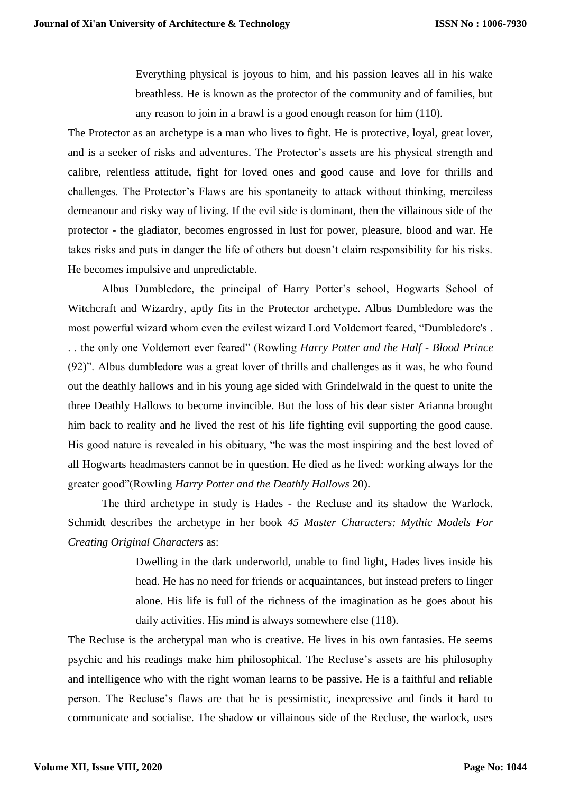Everything physical is joyous to him, and his passion leaves all in his wake breathless. He is known as the protector of the community and of families, but any reason to join in a brawl is a good enough reason for him (110).

The Protector as an archetype is a man who lives to fight. He is protective, loyal, great lover, and is a seeker of risks and adventures. The Protector's assets are his physical strength and calibre, relentless attitude, fight for loved ones and good cause and love for thrills and challenges. The Protector's Flaws are his spontaneity to attack without thinking, merciless demeanour and risky way of living. If the evil side is dominant, then the villainous side of the protector - the gladiator, becomes engrossed in lust for power, pleasure, blood and war. He takes risks and puts in danger the life of others but doesn't claim responsibility for his risks. He becomes impulsive and unpredictable.

Albus Dumbledore, the principal of Harry Potter's school, Hogwarts School of Witchcraft and Wizardry, aptly fits in the Protector archetype. Albus Dumbledore was the most powerful wizard whom even the evilest wizard Lord Voldemort feared, "Dumbledore's . . . the only one Voldemort ever feared" (Rowling *Harry Potter and the Half - Blood Prince* (92)". Albus dumbledore was a great lover of thrills and challenges as it was, he who found out the deathly hallows and in his young age sided with Grindelwald in the quest to unite the three Deathly Hallows to become invincible. But the loss of his dear sister Arianna brought him back to reality and he lived the rest of his life fighting evil supporting the good cause. His good nature is revealed in his obituary, "he was the most inspiring and the best loved of all Hogwarts headmasters cannot be in question. He died as he lived: working always for the greater good"(Rowling *Harry Potter and the Deathly Hallows* 20).

The third archetype in study is Hades - the Recluse and its shadow the Warlock. Schmidt describes the archetype in her book *45 Master Characters: Mythic Models For Creating Original Characters* as:

> Dwelling in the dark underworld, unable to find light, Hades lives inside his head. He has no need for friends or acquaintances, but instead prefers to linger alone. His life is full of the richness of the imagination as he goes about his daily activities. His mind is always somewhere else (118).

The Recluse is the archetypal man who is creative. He lives in his own fantasies. He seems psychic and his readings make him philosophical. The Recluse's assets are his philosophy and intelligence who with the right woman learns to be passive. He is a faithful and reliable person. The Recluse's flaws are that he is pessimistic, inexpressive and finds it hard to communicate and socialise. The shadow or villainous side of the Recluse, the warlock, uses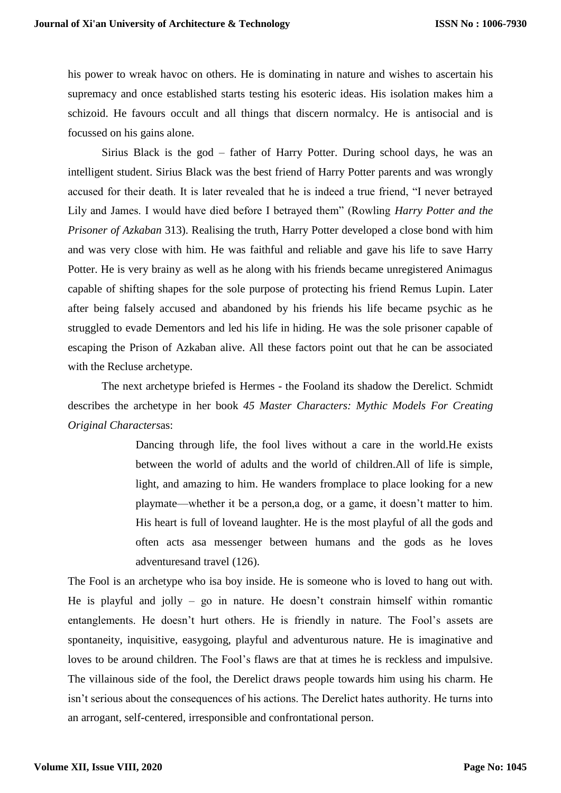his power to wreak havoc on others. He is dominating in nature and wishes to ascertain his supremacy and once established starts testing his esoteric ideas. His isolation makes him a schizoid. He favours occult and all things that discern normalcy. He is antisocial and is focussed on his gains alone.

Sirius Black is the god – father of Harry Potter. During school days, he was an intelligent student. Sirius Black was the best friend of Harry Potter parents and was wrongly accused for their death. It is later revealed that he is indeed a true friend, "I never betrayed Lily and James. I would have died before I betrayed them" (Rowling *Harry Potter and the Prisoner of Azkaban* 313). Realising the truth, Harry Potter developed a close bond with him and was very close with him. He was faithful and reliable and gave his life to save Harry Potter. He is very brainy as well as he along with his friends became unregistered Animagus capable of shifting shapes for the sole purpose of protecting his friend Remus Lupin. Later after being falsely accused and abandoned by his friends his life became psychic as he struggled to evade Dementors and led his life in hiding. He was the sole prisoner capable of escaping the Prison of Azkaban alive. All these factors point out that he can be associated with the Recluse archetype.

The next archetype briefed is Hermes - the Fooland its shadow the Derelict. Schmidt describes the archetype in her book *45 Master Characters: Mythic Models For Creating Original Characters*as:

> Dancing through life, the fool lives without a care in the world.He exists between the world of adults and the world of children.All of life is simple, light, and amazing to him. He wanders fromplace to place looking for a new playmate—whether it be a person,a dog, or a game, it doesn't matter to him. His heart is full of loveand laughter. He is the most playful of all the gods and often acts asa messenger between humans and the gods as he loves adventuresand travel (126).

The Fool is an archetype who isa boy inside. He is someone who is loved to hang out with. He is playful and jolly – go in nature. He doesn't constrain himself within romantic entanglements. He doesn't hurt others. He is friendly in nature. The Fool's assets are spontaneity, inquisitive, easygoing, playful and adventurous nature. He is imaginative and loves to be around children. The Fool's flaws are that at times he is reckless and impulsive. The villainous side of the fool, the Derelict draws people towards him using his charm. He isn't serious about the consequences of his actions. The Derelict hates authority. He turns into an arrogant, self-centered, irresponsible and confrontational person.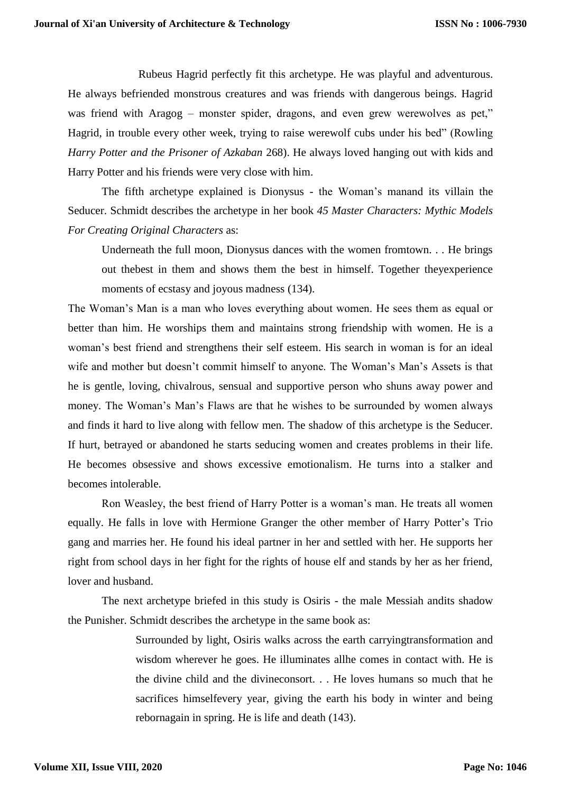Rubeus Hagrid perfectly fit this archetype. He was playful and adventurous. He always befriended monstrous creatures and was friends with dangerous beings. Hagrid was friend with Aragog – monster spider, dragons, and even grew werewolves as pet," Hagrid, in trouble every other week, trying to raise werewolf cubs under his bed" (Rowling *Harry Potter and the Prisoner of Azkaban* 268). He always loved hanging out with kids and Harry Potter and his friends were very close with him.

The fifth archetype explained is Dionysus - the Woman's manand its villain the Seducer. Schmidt describes the archetype in her book *45 Master Characters: Mythic Models For Creating Original Characters* as:

Underneath the full moon, Dionysus dances with the women fromtown. . . He brings out thebest in them and shows them the best in himself. Together theyexperience moments of ecstasy and joyous madness (134).

The Woman's Man is a man who loves everything about women. He sees them as equal or better than him. He worships them and maintains strong friendship with women. He is a woman's best friend and strengthens their self esteem. His search in woman is for an ideal wife and mother but doesn't commit himself to anyone. The Woman's Man's Assets is that he is gentle, loving, chivalrous, sensual and supportive person who shuns away power and money. The Woman's Man's Flaws are that he wishes to be surrounded by women always and finds it hard to live along with fellow men. The shadow of this archetype is the Seducer. If hurt, betrayed or abandoned he starts seducing women and creates problems in their life. He becomes obsessive and shows excessive emotionalism. He turns into a stalker and becomes intolerable.

Ron Weasley, the best friend of Harry Potter is a woman's man. He treats all women equally. He falls in love with Hermione Granger the other member of Harry Potter's Trio gang and marries her. He found his ideal partner in her and settled with her. He supports her right from school days in her fight for the rights of house elf and stands by her as her friend, lover and husband.

The next archetype briefed in this study is Osiris - the male Messiah andits shadow the Punisher. Schmidt describes the archetype in the same book as:

> Surrounded by light, Osiris walks across the earth carryingtransformation and wisdom wherever he goes. He illuminates allhe comes in contact with. He is the divine child and the divineconsort. . . He loves humans so much that he sacrifices himselfevery year, giving the earth his body in winter and being rebornagain in spring. He is life and death (143).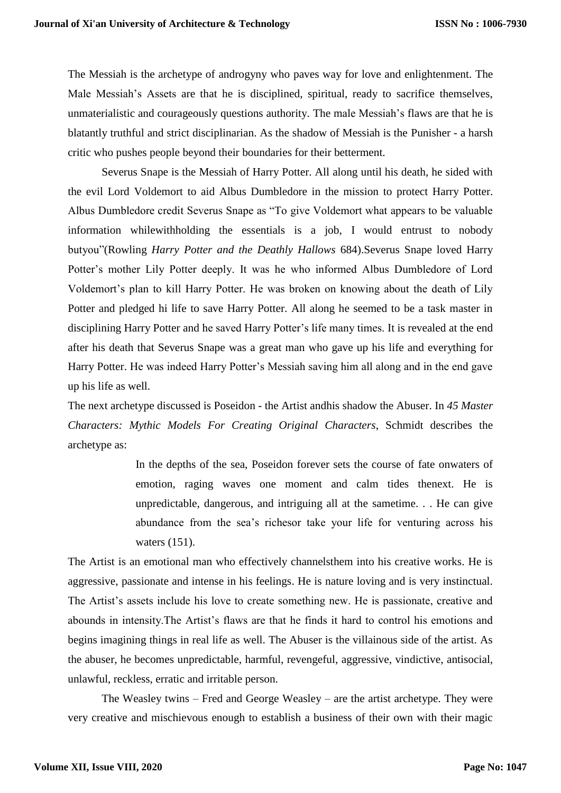The Messiah is the archetype of androgyny who paves way for love and enlightenment. The Male Messiah's Assets are that he is disciplined, spiritual, ready to sacrifice themselves, unmaterialistic and courageously questions authority. The male Messiah's flaws are that he is blatantly truthful and strict disciplinarian. As the shadow of Messiah is the Punisher - a harsh critic who pushes people beyond their boundaries for their betterment.

Severus Snape is the Messiah of Harry Potter. All along until his death, he sided with the evil Lord Voldemort to aid Albus Dumbledore in the mission to protect Harry Potter. Albus Dumbledore credit Severus Snape as "To give Voldemort what appears to be valuable information whilewithholding the essentials is a job, I would entrust to nobody butyou"(Rowling *Harry Potter and the Deathly Hallows* 684).Severus Snape loved Harry Potter's mother Lily Potter deeply. It was he who informed Albus Dumbledore of Lord Voldemort's plan to kill Harry Potter. He was broken on knowing about the death of Lily Potter and pledged hi life to save Harry Potter. All along he seemed to be a task master in disciplining Harry Potter and he saved Harry Potter's life many times. It is revealed at the end after his death that Severus Snape was a great man who gave up his life and everything for Harry Potter. He was indeed Harry Potter's Messiah saving him all along and in the end gave up his life as well.

The next archetype discussed is Poseidon - the Artist andhis shadow the Abuser. In *45 Master Characters: Mythic Models For Creating Original Characters*, Schmidt describes the archetype as:

> In the depths of the sea, Poseidon forever sets the course of fate onwaters of emotion, raging waves one moment and calm tides thenext. He is unpredictable, dangerous, and intriguing all at the sametime. . . He can give abundance from the sea's richesor take your life for venturing across his waters (151).

The Artist is an emotional man who effectively channelsthem into his creative works. He is aggressive, passionate and intense in his feelings. He is nature loving and is very instinctual. The Artist's assets include his love to create something new. He is passionate, creative and abounds in intensity.The Artist's flaws are that he finds it hard to control his emotions and begins imagining things in real life as well. The Abuser is the villainous side of the artist. As the abuser, he becomes unpredictable, harmful, revengeful, aggressive, vindictive, antisocial, unlawful, reckless, erratic and irritable person.

The Weasley twins – Fred and George Weasley – are the artist archetype. They were very creative and mischievous enough to establish a business of their own with their magic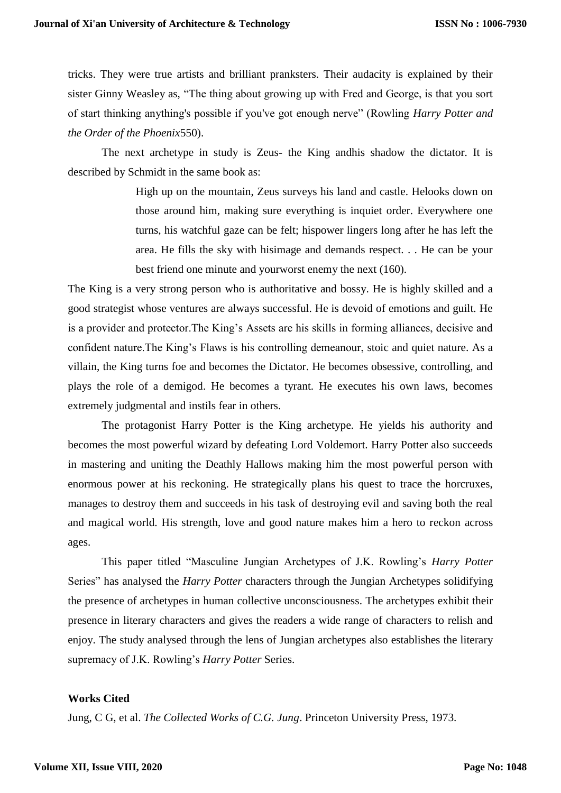tricks. They were true artists and brilliant pranksters. Their audacity is explained by their sister Ginny Weasley as, "The thing about growing up with Fred and George, is that you sort of start thinking anything's possible if you've got enough nerve" (Rowling *Harry Potter and the Order of the Phoenix*550).

The next archetype in study is Zeus- the King andhis shadow the dictator. It is described by Schmidt in the same book as:

> High up on the mountain, Zeus surveys his land and castle. Helooks down on those around him, making sure everything is inquiet order. Everywhere one turns, his watchful gaze can be felt; hispower lingers long after he has left the area. He fills the sky with hisimage and demands respect. . . He can be your best friend one minute and yourworst enemy the next (160).

The King is a very strong person who is authoritative and bossy. He is highly skilled and a good strategist whose ventures are always successful. He is devoid of emotions and guilt. He is a provider and protector.The King's Assets are his skills in forming alliances, decisive and confident nature.The King's Flaws is his controlling demeanour, stoic and quiet nature. As a villain, the King turns foe and becomes the Dictator. He becomes obsessive, controlling, and plays the role of a demigod. He becomes a tyrant. He executes his own laws, becomes extremely judgmental and instils fear in others.

The protagonist Harry Potter is the King archetype. He yields his authority and becomes the most powerful wizard by defeating Lord Voldemort. Harry Potter also succeeds in mastering and uniting the Deathly Hallows making him the most powerful person with enormous power at his reckoning. He strategically plans his quest to trace the horcruxes, manages to destroy them and succeeds in his task of destroying evil and saving both the real and magical world. His strength, love and good nature makes him a hero to reckon across ages.

This paper titled "Masculine Jungian Archetypes of J.K. Rowling's *Harry Potter*  Series" has analysed the *Harry Potter* characters through the Jungian Archetypes solidifying the presence of archetypes in human collective unconsciousness. The archetypes exhibit their presence in literary characters and gives the readers a wide range of characters to relish and enjoy. The study analysed through the lens of Jungian archetypes also establishes the literary supremacy of J.K. Rowling's *Harry Potter* Series.

# **Works Cited**

Jung, C G, et al. *The Collected Works of C.G. Jung*. Princeton University Press, 1973.